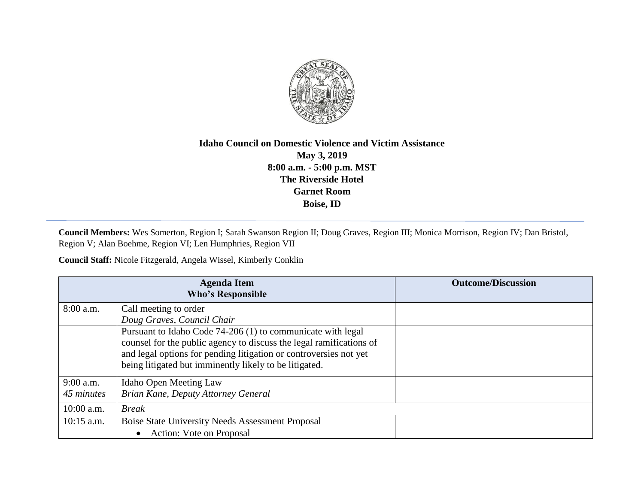

## **Idaho Council on Domestic Violence and Victim Assistance May 3, 2019 8:00 a.m. - 5:00 p.m. MST The Riverside Hotel Garnet Room Boise, ID**

**Council Members:** Wes Somerton, Region I; Sarah Swanson Region II; Doug Graves, Region III; Monica Morrison, Region IV; Dan Bristol, Region V; Alan Boehme, Region VI; Len Humphries, Region VII

**Council Staff:** Nicole Fitzgerald, Angela Wissel, Kimberly Conklin

| <b>Agenda Item</b><br><b>Who's Responsible</b> |                                                                                                                                                                                                                                                                   | <b>Outcome/Discussion</b> |
|------------------------------------------------|-------------------------------------------------------------------------------------------------------------------------------------------------------------------------------------------------------------------------------------------------------------------|---------------------------|
| 8:00 a.m.                                      | Call meeting to order<br>Doug Graves, Council Chair                                                                                                                                                                                                               |                           |
|                                                | Pursuant to Idaho Code 74-206 (1) to communicate with legal<br>counsel for the public agency to discuss the legal ramifications of<br>and legal options for pending litigation or controversies not yet<br>being litigated but imminently likely to be litigated. |                           |
| $9:00$ a.m.<br>45 minutes                      | <b>Idaho Open Meeting Law</b><br>Brian Kane, Deputy Attorney General                                                                                                                                                                                              |                           |
| $10:00$ a.m.                                   | <b>Break</b>                                                                                                                                                                                                                                                      |                           |
| $10:15$ a.m.                                   | Boise State University Needs Assessment Proposal<br>Action: Vote on Proposal                                                                                                                                                                                      |                           |